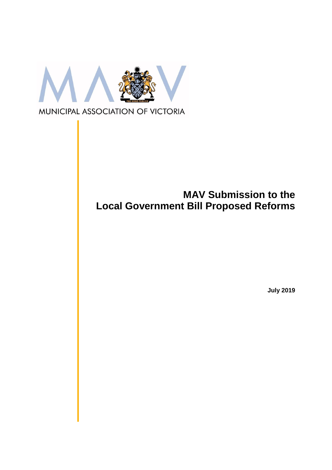

# **MAV Submission to the Local Government Bill Proposed Reforms**

**July 2019**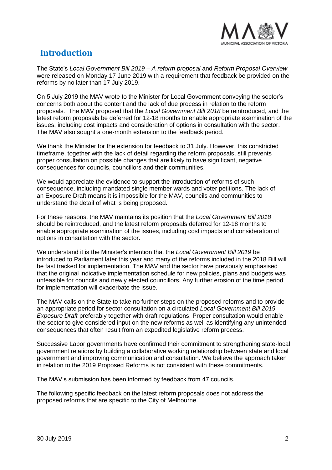

# **Introduction**

The State's *Local Government Bill 2019 – A reform proposal* and *Reform Proposal Overview* were released on Monday 17 June 2019 with a requirement that feedback be provided on the reforms by no later than 17 July 2019.

On 5 July 2019 the MAV wrote to the Minister for Local Government conveying the sector's concerns both about the content and the lack of due process in relation to the reform proposals. The MAV proposed that the *Local Government Bill 2018* be reintroduced, and the latest reform proposals be deferred for 12-18 months to enable appropriate examination of the issues, including cost impacts and consideration of options in consultation with the sector. The MAV also sought a one-month extension to the feedback period.

We thank the Minister for the extension for feedback to 31 July. However, this constricted timeframe, together with the lack of detail regarding the reform proposals, still prevents proper consultation on possible changes that are likely to have significant, negative consequences for councils, councillors and their communities.

We would appreciate the evidence to support the introduction of reforms of such consequence, including mandated single member wards and voter petitions. The lack of an Exposure Draft means it is impossible for the MAV, councils and communities to understand the detail of what is being proposed.

For these reasons, the MAV maintains its position that the *Local Government Bill 2018* should be reintroduced, and the latest reform proposals deferred for 12-18 months to enable appropriate examination of the issues, including cost impacts and consideration of options in consultation with the sector.

We understand it is the Minister's intention that the *Local Government Bill 2019* be introduced to Parliament later this year and many of the reforms included in the 2018 Bill will be fast tracked for implementation. The MAV and the sector have previously emphasised that the original indicative implementation schedule for new policies, plans and budgets was unfeasible for councils and newly elected councillors*.* Any further erosion of the time period for implementation will exacerbate the issue.

The MAV calls on the State to take no further steps on the proposed reforms and to provide an appropriate period for sector consultation on a circulated *Local Government Bill 2019 Exposure Draft* preferably together with draft regulations. Proper consultation would enable the sector to give considered input on the new reforms as well as identifying any unintended consequences that often result from an expedited legislative reform process.

Successive Labor governments have confirmed their commitment to strengthening state-local government relations by building a collaborative working relationship between state and local government and improving communication and consultation. We believe the approach taken in relation to the 2019 Proposed Reforms is not consistent with these commitments.

The MAV's submission has been informed by feedback from 47 councils.

The following specific feedback on the latest reform proposals does not address the proposed reforms that are specific to the City of Melbourne.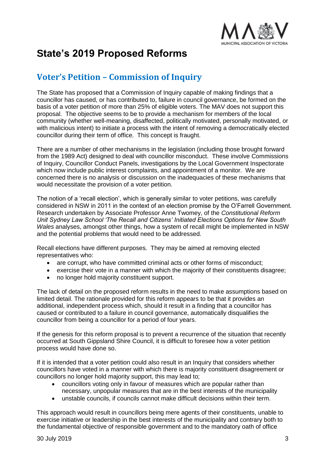

# **State's 2019 Proposed Reforms**

# **Voter's Petition – Commission of Inquiry**

The State has proposed that a Commission of Inquiry capable of making findings that a councillor has caused, or has contributed to, failure in council governance, be formed on the basis of a voter petition of more than 25% of eligible voters. The MAV does not support this proposal. The objective seems to be to provide a mechanism for members of the local community (whether well-meaning, disaffected, politically motivated, personally motivated, or with malicious intent) to initiate a process with the intent of removing a democratically elected councillor during their term of office. This concept is fraught.

There are a number of other mechanisms in the legislation (including those brought forward from the 1989 Act) designed to deal with councillor misconduct. These involve Commissions of Inquiry, Councillor Conduct Panels, investigations by the Local Government Inspectorate which now include public interest complaints, and appointment of a monitor. We are concerned there is no analysis or discussion on the inadequacies of these mechanisms that would necessitate the provision of a voter petition.

The notion of a 'recall election', which is generally similar to voter petitions, was carefully considered in NSW in 2011 in the context of an election promise by the O'Farrell Government. Research undertaken by Associate Professor Anne Twomey, of the *Constitutional Reform Unit Sydney Law School 'The Recall and Citizens' Initiated Elections Options for New South Wales* analyses, amongst other things, how a system of recall might be implemented in NSW and the potential problems that would need to be addressed.

Recall elections have different purposes. They may be aimed at removing elected representatives who:

- are corrupt, who have committed criminal acts or other forms of misconduct;
- exercise their vote in a manner with which the majority of their constituents disagree;
- no longer hold majority constituent support.

The lack of detail on the proposed reform results in the need to make assumptions based on limited detail. The rationale provided for this reform appears to be that it provides an additional, independent process which, should it result in a finding that a councillor has caused or contributed to a failure in council governance, automatically disqualifies the councillor from being a councillor for a period of four years.

If the genesis for this reform proposal is to prevent a recurrence of the situation that recently occurred at South Gippsland Shire Council, it is difficult to foresee how a voter petition process would have done so.

If it is intended that a voter petition could also result in an Inquiry that considers whether councillors have voted in a manner with which there is majority constituent disagreement or councillors no longer hold majority support, this may lead to;

- councillors voting only in favour of measures which are popular rather than necessary, unpopular measures that are in the best interests of the municipality
- unstable councils, if councils cannot make difficult decisions within their term.

This approach would result in councillors being mere agents of their constituents, unable to exercise initiative or leadership in the best interests of the municipality and contrary both to the fundamental objective of responsible government and to the mandatory oath of office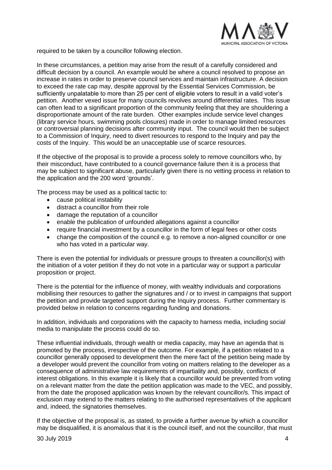

required to be taken by a councillor following election.

In these circumstances, a petition may arise from the result of a carefully considered and difficult decision by a council. An example would be where a council resolved to propose an increase in rates in order to preserve council services and maintain infrastructure. A decision to exceed the rate cap may, despite approval by the Essential Services Commission, be sufficiently unpalatable to more than 25 per cent of eligible voters to result in a valid voter's petition. Another vexed issue for many councils revolves around differential rates. This issue can often lead to a significant proportion of the community feeling that they are shouldering a disproportionate amount of the rate burden. Other examples include service level changes (library service hours, swimming pools closures) made in order to manage limited resources or controversial planning decisions after community input. The council would then be subject to a Commission of Inquiry, need to divert resources to respond to the Inquiry and pay the costs of the Inquiry. This would be an unacceptable use of scarce resources.

If the objective of the proposal is to provide a process solely to remove councillors who, by their misconduct, have contributed to a council governance failure then it is a process that may be subject to significant abuse, particularly given there is no vetting process in relation to the application and the 200 word 'grounds'.

The process may be used as a political tactic to:

- cause political instability
- distract a councillor from their role
- damage the reputation of a councillor
- enable the publication of unfounded allegations against a councillor
- require financial investment by a councillor in the form of legal fees or other costs
- change the composition of the council e.g. to remove a non-aligned councillor or one who has voted in a particular way.

There is even the potential for individuals or pressure groups to threaten a councillor(s) with the initiation of a voter petition if they do not vote in a particular way or support a particular proposition or project.

There is the potential for the influence of money, with wealthy individuals and corporations mobilising their resources to gather the signatures and / or to invest in campaigns that support the petition and provide targeted support during the Inquiry process. Further commentary is provided below in relation to concerns regarding funding and donations.

In addition, individuals and corporations with the capacity to harness media, including social media to manipulate the process could do so.

These influential individuals, through wealth or media capacity, may have an agenda that is promoted by the process, irrespective of the outcome. For example, if a petition related to a councillor generally opposed to development then the mere fact of the petition being made by a developer would prevent the councillor from voting on matters relating to the developer as a consequence of administrative law requirements of impartiality and, possibly, conflicts of interest obligations. In this example it is likely that a councillor would be prevented from voting on a relevant matter from the date the petition application was made to the VEC, and possibly, from the date the proposed application was known by the relevant councillor/s. This impact of exclusion may extend to the matters relating to the authorised representatives of the applicant and, indeed, the signatories themselves.

If the objective of the proposal is, as stated, to provide a further avenue by which a councillor may be disqualified, it is anomalous that it is the council itself, and not the councillor, that must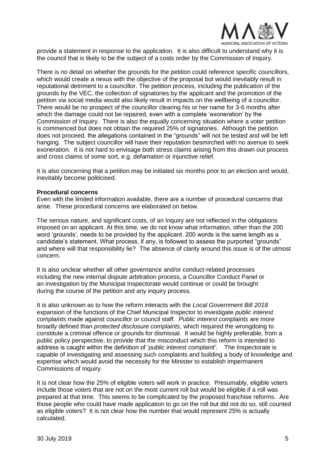

provide a statement in response to the application. It is also difficult to understand why it is the council that is likely to be the subject of a costs order by the Commission of Inquiry.

There is no detail on whether the grounds for the petition could reference specific councillors, which would create a nexus with the objective of the proposal but would inevitably result in reputational detriment to a councillor. The petition process, including the publication of the grounds by the VEC, the collection of signatories by the applicant and the promotion of the petition via social media would also likely result in impacts on the wellbeing of a councillor. There would be no prospect of the councillor clearing his or her name for 3-6 months after which the damage could not be repaired, even with a complete 'exoneration' by the Commission of Inquiry. There is also the equally concerning situation where a voter petition is commenced but does not obtain the required 25% of signatories. Although the petition does not proceed, the allegations contained in the "grounds" will not be tested and will be left hanging. The subject councillor will have their reputation besmirched with no avenue to seek exoneration. It is not hard to envisage both stress claims arising from this drawn out process and cross claims of some sort, e.g. defamation or injunctive relief.

It is also concerning that a petition may be initiated six months prior to an election and would, inevitably become politicised.

#### **Procedural concerns**

Even with the limited information available, there are a number of procedural concerns that arise. These procedural concerns are elaborated on below.

The serious nature, and significant costs, of an Inquiry are not reflected in the obligations imposed on an applicant. At this time, we do not know what information, other than the 200 word 'grounds', needs to be provided by the applicant. 200 words is the same length as a candidate's statement. What process, if any, is followed to assess the purported "grounds" and where will that responsibility lie? The absence of clarity around this issue is of the utmost concern.

It is also unclear whether all other governance and/or conduct-related processes including the new internal dispute arbitration process, a Councillor Conduct Panel or an investigation by the Municipal Inspectorate would continue or could be brought during the course of the petition and any inquiry process.

It is also unknown as to how the reform interacts with the *Local Government Bill 2018* expansion of the functions of the Chief Municipal Inspector to investigate *public interest complaints* made against councillor or council staff. *Public interest complaints* are more broadly defined than *protected disclosure complaints*, which required the wrongdoing to constitute a criminal offence or grounds for dismissal. It would be highly preferable, from a public policy perspective, to provide that the misconduct which this reform is intended to address is caught within the definition of '*public interest complaint'*. The Inspectorate is capable of investigating and assessing such complaints and building a body of knowledge and expertise which would avoid the necessity for the Minister to establish impermanent Commissions of Inquiry.

It is not clear how the 25% of eligible voters will work in practice. Presumably, eligible voters include those voters that are not on the most current roll but would be eligible if a roll was prepared at that time. This seems to be complicated by the proposed franchise reforms. Are those people who could have made application to go on the roll but did not do so, still counted as eligible voters? It is not clear how the number that would represent 25% is actually calculated.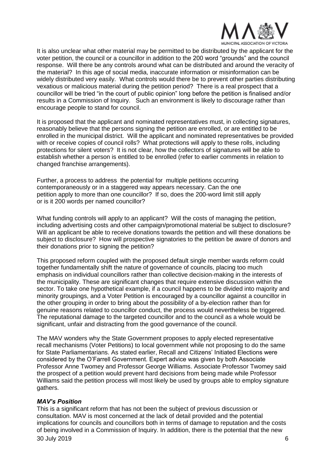

It is also unclear what other material may be permitted to be distributed by the applicant for the voter petition, the council or a councillor in addition to the 200 word "grounds" and the council response. Will there be any controls around what can be distributed and around the veracity of the material? In this age of social media, inaccurate information or misinformation can be widely distributed very easily. What controls would there be to prevent other parties distributing vexatious or malicious material during the petition period? There is a real prospect that a councillor will be tried "in the court of public opinion" long before the petition is finalised and/or results in a Commission of Inquiry. Such an environment is likely to discourage rather than encourage people to stand for council.

It is proposed that the applicant and nominated representatives must, in collecting signatures, reasonably believe that the persons signing the petition are enrolled, or are entitled to be enrolled in the municipal district. Will the applicant and nominated representatives be provided with or receive copies of council rolls? What protections will apply to these rolls, including protections for silent voters? It is not clear, how the collectors of signatures will be able to establish whether a person is entitled to be enrolled (refer to earlier comments in relation to changed franchise arrangements).

Further, a process to address the potential for multiple petitions occurring contemporaneously or in a staggered way appears necessary. Can the one petition apply to more than one councillor? If so, does the 200-word limit still apply or is it 200 words per named councillor?

What funding controls will apply to an applicant? Will the costs of managing the petition, including advertising costs and other campaign/promotional material be subject to disclosure? Will an applicant be able to receive donations towards the petition and will these donations be subject to disclosure? How will prospective signatories to the petition be aware of donors and their donations prior to signing the petition?

This proposed reform coupled with the proposed default single member wards reform could together fundamentally shift the nature of governance of councils, placing too much emphasis on individual councillors rather than collective decision-making in the interests of the municipality. These are significant changes that require extensive discussion within the sector. To take one hypothetical example, if a council happens to be divided into majority and minority groupings, and a Voter Petition is encouraged by a councillor against a councillor in the other grouping in order to bring about the possibility of a by-election rather than for genuine reasons related to councillor conduct, the process would nevertheless be triggered. The reputational damage to the targeted councillor and to the council as a whole would be significant, unfair and distracting from the good governance of the council.

The MAV wonders why the State Government proposes to apply elected representative recall mechanisms (Voter Petitions) to local government while not proposing to do the same for State Parliamentarians. As stated earlier, Recall and Citizens' Initiated Elections were considered by the O'Farrell Government. Expert advice was given by both Associate Professor Anne Twomey and Professor George Williams. Associate Professor Twomey said the prospect of a petition would prevent hard decisions from being made while Professor Williams said the petition process will most likely be used by groups able to employ signature gathers.

#### *MAV's Position*

30 July 2019 6 This is a significant reform that has not been the subject of previous discussion or consultation. MAV is most concerned at the lack of detail provided and the potential implications for councils and councillors both in terms of damage to reputation and the costs of being involved in a Commission of Inquiry. In addition, there is the potential that the new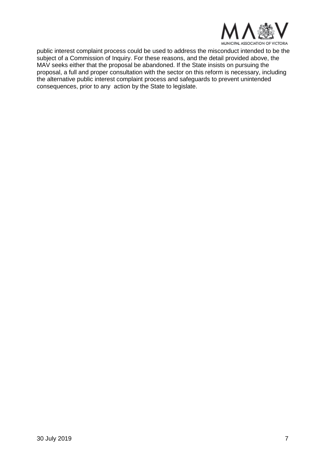

public interest complaint process could be used to address the misconduct intended to be the subject of a Commission of Inquiry. For these reasons, and the detail provided above, the MAV seeks either that the proposal be abandoned. If the State insists on pursuing the proposal, a full and proper consultation with the sector on this reform is necessary, including the alternative public interest complaint process and safeguards to prevent unintended consequences, prior to any action by the State to legislate.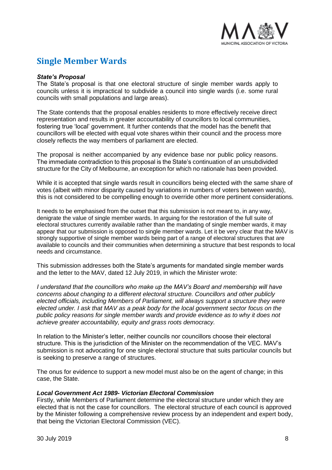

# **Single Member Wards**

#### *State's Proposal*

The State's proposal is that one electoral structure of single member wards apply to councils unless it is impractical to subdivide a council into single wards (i.e. some rural councils with small populations and large areas).

The State contends that the proposal enables residents to more effectively receive direct representation and results in greater accountability of councillors to local communities, fostering true 'local' government. It further contends that the model has the benefit that councillors will be elected with equal vote shares within their council and the process more closely reflects the way members of parliament are elected.

The proposal is neither accompanied by any evidence base nor public policy reasons. The immediate contradiction to this proposal is the State's continuation of an unsubdivided structure for the City of Melbourne, an exception for which no rationale has been provided.

While it is accepted that single wards result in councillors being elected with the same share of votes (albeit with minor disparity caused by variations in numbers of voters between wards), this is not considered to be compelling enough to override other more pertinent considerations.

It needs to be emphasised from the outset that this submission is not meant to, in any way, denigrate the value of single member wards. In arguing for the restoration of the full suite of electoral structures currently available rather than the mandating of single member wards, it may appear that our submission is opposed to single member wards. Let it be very clear that the MAV is strongly supportive of single member wards being part of a range of electoral structures that are available to councils and their communities when determining a structure that best responds to local needs and circumstance.

This submission addresses both the State's arguments for mandated single member wards and the letter to the MAV, dated 12 July 2019, in which the Minister wrote:

*I understand that the councillors who make up the MAV's Board and membership will have concerns about changing to a different electoral structure. Councillors and other publicly elected officials, including Members of Parliament, will always support a structure they were elected under. I ask that MAV as a peak body for the local government sector focus on the public policy reasons for single member wards and provide evidence as to why it does not achieve greater accountability, equity and grass roots democracy.* 

In relation to the Minister's letter, neither councils nor councillors choose their electoral structure. This is the jurisdiction of the Minister on the recommendation of the VEC. MAV's submission is not advocating for one single electoral structure that suits particular councils but is seeking to preserve a range of structures.

The onus for evidence to support a new model must also be on the agent of change; in this case, the State.

### *Local Government Act 1989- Victorian Electoral Commission*

Firstly, while Members of Parliament determine the electoral structure under which they are elected that is not the case for councillors. The electoral structure of each council is approved by the Minister following a comprehensive review process by an independent and expert body, that being the Victorian Electoral Commission (VEC).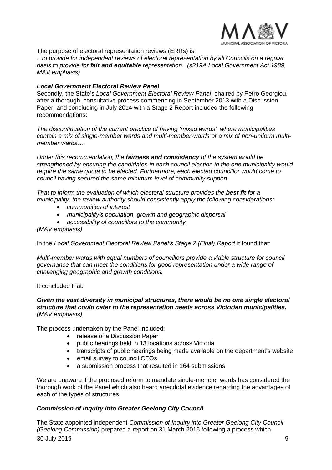

The purpose of electoral representation reviews (ERRs) is:

*...to provide for independent reviews of electoral representation by all Councils on a regular basis to provide for fair and equitable representation. (s219A Local Government Act 1989, MAV emphasis)* 

#### *Local Government Electoral Review Panel*

Secondly, the State's *Local Government Electoral Review Panel*, chaired by Petro Georgiou, after a thorough, consultative process commencing in September 2013 with a Discussion Paper, and concluding in July 2014 with a Stage 2 Report included the following recommendations:

*The discontinuation of the current practice of having 'mixed wards', where municipalities contain a mix of single-member wards and multi-member-wards or a mix of non-uniform multimember wards….*

*Under this recommendation, the fairness and consistency of the system would be strengthened by ensuring the candidates in each council election in the one municipality would require the same quota to be elected. Furthermore, each elected councillor would come to council having secured the same minimum level of community support.* 

*That to inform the evaluation of which electoral structure provides the best fit for a municipality, the review authority should consistently apply the following considerations:*

- *communities of interest*
- *municipality's population, growth and geographic dispersal*
- *accessibility of councillors to the community.*

*(MAV emphasis)* 

In the Local Government Electoral Review Panel's Stage 2 (Final) Report it found that:

*Multi-member wards with equal numbers of councillors provide a viable structure for council governance that can meet the conditions for good representation under a wide range of challenging geographic and growth conditions.* 

#### It concluded that:

#### *Given the vast diversity in municipal structures, there would be no one single electoral structure that could cater to the representation needs across Victorian municipalities. (MAV emphasis)*

The process undertaken by the Panel included;

- release of a Discussion Paper
- public hearings held in 13 locations across Victoria
- transcripts of public hearings being made available on the department's website
- email survey to council CEOs
- a submission process that resulted in 164 submissions

We are unaware if the proposed reform to mandate single-member wards has considered the thorough work of the Panel which also heard anecdotal evidence regarding the advantages of each of the types of structures.

### *Commission of Inquiry into Greater Geelong City Council*

30 July 2019 9 The State appointed independent *Commission of Inquiry into Greater Geelong City Council (Geelong Commission)* prepared a report on 31 March 2016 following a process which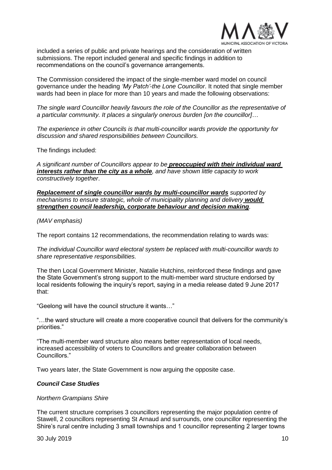

included a series of public and private hearings and the consideration of written submissions. The report included general and specific findings in addition to recommendations on the council's governance arrangements.

The Commission considered the impact of the single-member ward model on council governance under the heading *'My Patch'-the Lone Councillor*. It noted that single member wards had been in place for more than 10 years and made the following observations:

*The single ward Councillor heavily favours the role of the Councillor as the representative of a particular community. It places a singularly onerous burden [on the councillor]…*

*The experience in other Councils is that multi-councillor wards provide the opportunity for discussion and shared responsibilities between Councillors.* 

The findings included:

*A significant number of Councillors appear to be preoccupied with their individual ward interests rather than the city as a whole, and have shown little capacity to work constructively together*.

*Replacement of single councillor wards by multi-councillor wards supported by mechanisms to ensure strategic, whole of municipality planning and delivery would strengthen council leadership, corporate behaviour and decision making.* 

*(MAV emphasis)* 

The report contains 12 recommendations, the recommendation relating to wards was:

*The individual Councillor ward electoral system be replaced with multi-councillor wards to share representative responsibilities.* 

The then Local Government Minister, Natalie Hutchins, reinforced these findings and gave the State Government's strong support to the multi-member ward structure endorsed by local residents following the inquiry's report, saying in a media release dated 9 June 2017 that:

"Geelong will have the council structure it wants…"

"…the ward structure will create a more cooperative council that delivers for the community's priorities."

"The multi-member ward structure also means better representation of local needs, increased accessibility of voters to Councillors and greater collaboration between Councillors."

Two years later, the State Government is now arguing the opposite case.

#### *Council Case Studies*

*Northern Grampians Shire* 

The current structure comprises 3 councillors representing the major population centre of Stawell, 2 councillors representing St Arnaud and surrounds, one councillor representing the Shire's rural centre including 3 small townships and 1 councillor representing 2 larger towns

30 July 2019 10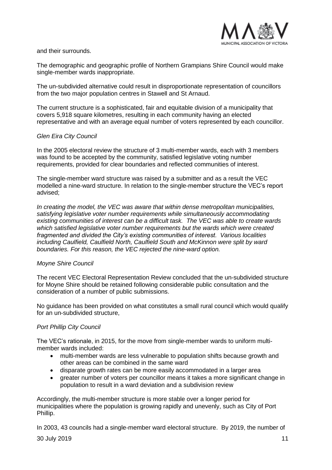

and their surrounds.

The demographic and geographic profile of Northern Grampians Shire Council would make single-member wards inappropriate.

The un-subdivided alternative could result in disproportionate representation of councillors from the two major population centres in Stawell and St Arnaud.

The current structure is a sophisticated, fair and equitable division of a municipality that covers 5,918 square kilometres, resulting in each community having an elected representative and with an average equal number of voters represented by each councillor.

### *Glen Eira City Council*

In the 2005 electoral review the structure of 3 multi-member wards, each with 3 members was found to be accepted by the community, satisfied legislative voting number requirements, provided for clear boundaries and reflected communities of interest.

The single-member ward structure was raised by a submitter and as a result the VEC modelled a nine-ward structure. In relation to the single-member structure the VEC's report advised;

*In creating the model, the VEC was aware that within dense metropolitan municipalities, satisfying legislative voter number requirements while simultaneously accommodating existing communities of interest can be a difficult task. The VEC was able to create wards which satisfied legislative voter number requirements but the wards which were created fragmented and divided the City's existing communities of interest. Various localities including Caulfield, Caulfield North, Caulfield South and McKinnon were split by ward boundaries. For this reason, the VEC rejected the nine-ward option.* 

### *Moyne Shire Council*

The recent VEC Electoral Representation Review concluded that the un-subdivided structure for Moyne Shire should be retained following considerable public consultation and the consideration of a number of public submissions.

No guidance has been provided on what constitutes a small rural council which would qualify for an un-subdivided structure,

### *Port Phillip City Council*

The VEC's rationale, in 2015, for the move from single-member wards to uniform multimember wards included:

- multi-member wards are less vulnerable to population shifts because growth and other areas can be combined in the same ward
- disparate growth rates can be more easily accommodated in a larger area
- greater number of voters per councillor means it takes a more significant change in population to result in a ward deviation and a subdivision review

Accordingly, the multi-member structure is more stable over a longer period for municipalities where the population is growing rapidly and unevenly, such as City of Port Phillip.

In 2003, 43 councils had a single-member ward electoral structure. By 2019, the number of

30 July 2019 11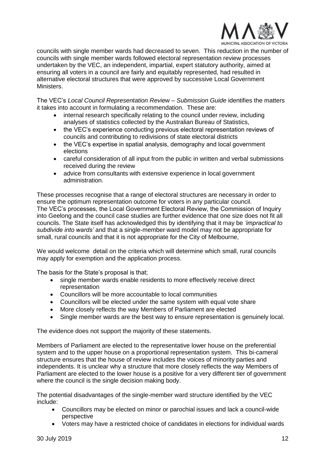

councils with single member wards had decreased to seven. This reduction in the number of councils with single member wards followed electoral representation review processes undertaken by the VEC, an independent, impartial, expert statutory authority, aimed at ensuring all voters in a council are fairly and equitably represented, had resulted in alternative electoral structures that were approved by successive Local Government Ministers.

The VEC's *Local Council Representation Review – Submission Guide* identifies the matters it takes into account in formulating a recommendation. These are:

- internal research specifically relating to the council under review, including analyses of statistics collected by the Australian Bureau of Statistics,
- the VEC's experience conducting previous electoral representation reviews of councils and contributing to redivisions of state electoral districts
- the VEC's expertise in spatial analysis, demography and local government elections
- careful consideration of all input from the public in written and verbal submissions received during the review
- advice from consultants with extensive experience in local government administration.

These processes recognise that a range of electoral structures are necessary in order to ensure the optimum representation outcome for voters in any particular council. The VEC's processes, the Local Government Electoral Review, the Commission of Inquiry into Geelong and the council case studies are further evidence that one size does not fit all councils. The State itself has acknowledged this by identifying that it may be *'impractical to subdivide into wards'* and that a single-member ward model may not be appropriate for small, rural councils and that it is not appropriate for the City of Melbourne,

We would welcome detail on the criteria which will determine which small, rural councils may apply for exemption and the application process.

The basis for the State's proposal is that;

- single member wards enable residents to more effectively receive direct representation
- Councillors will be more accountable to local communities
- Councillors will be elected under the same system with equal vote share
- More closely reflects the way Members of Parliament are elected
- Single member wards are the best way to ensure representation is genuinely local.

The evidence does not support the majority of these statements.

Members of Parliament are elected to the representative lower house on the preferential system and to the upper house on a proportional representation system. This bi-cameral structure ensures that the house of review includes the voices of minority parties and independents. It is unclear why a structure that more closely reflects the way Members of Parliament are elected to the lower house is a positive for a very different tier of government where the council is the single decision making body.

The potential disadvantages of the single-member ward structure identified by the VEC include:

- Councillors may be elected on minor or parochial issues and lack a council-wide perspective
- Voters may have a restricted choice of candidates in elections for individual wards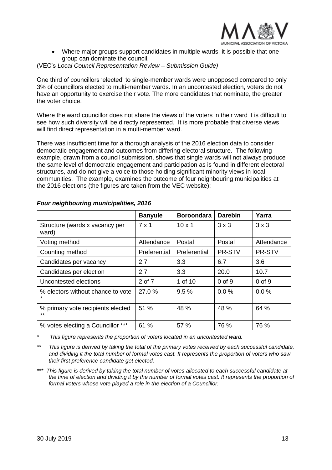

• Where major groups support candidates in multiple wards, it is possible that one group can dominate the council.

#### (VEC's *Local Council Representation Review – Submission Guide)*

One third of councillors 'elected' to single-member wards were unopposed compared to only 3% of councillors elected to multi-member wards. In an uncontested election, voters do not have an opportunity to exercise their vote. The more candidates that nominate, the greater the voter choice.

Where the ward councillor does not share the views of the voters in their ward it is difficult to see how such diversity will be directly represented. It is more probable that diverse views will find direct representation in a multi-member ward.

There was insufficient time for a thorough analysis of the 2016 election data to consider democratic engagement and outcomes from differing electoral structure. The following example, drawn from a council submission, shows that single wards will not always produce the same level of democratic engagement and participation as is found in different electoral structures, and do not give a voice to those holding significant minority views in local communities. The example, examines the outcome of four neighbouring municipalities at the 2016 elections (the figures are taken from the VEC website):

|                                           | <b>Banyule</b> | <b>Boroondara</b> | <b>Darebin</b> | Yarra        |
|-------------------------------------------|----------------|-------------------|----------------|--------------|
| Structure (wards x vacancy per<br>ward)   | 7 x 1          | $10 \times 1$     | $3 \times 3$   | $3 \times 3$ |
| Voting method                             | Attendance     | Postal            | Postal         | Attendance   |
| Counting method                           | Preferential   | Preferential      | PR-STV         | PR-STV       |
| Candidates per vacancy                    | 2.7            | 3.3               | 6.7            | 3.6          |
| Candidates per election                   | 2.7            | 3.3               | 20.0           | 10.7         |
| Uncontested elections                     | 2 of 7         | 1 of 10           | $0$ of $9$     | $0$ of $9$   |
| % electors without chance to vote         | 27.0%          | 9.5%              | 0.0%           | 0.0%         |
| % primary vote recipients elected<br>$**$ | 51 %           | 48 %              | 48 %           | 64 %         |
| % votes electing a Councillor ***         | 61 %           | 57 %              | 76 %           | 76 %         |

## *Four neighbouring municipalities, 2016*

*\* This figure represents the proportion of voters located in an uncontested ward.*

*\*\* This figure is derived by taking the total of the primary votes received by each successful candidate, and dividing it the total number of formal votes cast. It represents the proportion of voters who saw their first preference candidate get elected.*

*\*\*\* This figure is derived by taking the total number of votes allocated to each successful candidate at the time of election and dividing it by the number of formal votes cast. It represents the proportion of formal voters whose vote played a role in the election of a Councillor.*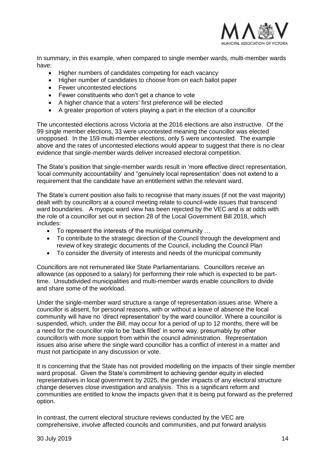

In summary, in this example, when compared to single member wards, multi-member wards have:

- Higher numbers of candidates competing for each vacancy
- Higher number of candidates to choose from on each ballot paper
- Fewer uncontested elections
- Fewer constituents who don't get a chance to vote
- A higher chance that a voters' first preference will be elected
- A greater proportion of voters playing a part in the election of a councillor

The uncontested elections across Victoria at the 2016 elections are also instructive. Of the 99 single member elections, 33 were uncontested meaning the councillor was elected unopposed. In the 159 multi-member elections, only 5 were uncontested. The example above and the rates of uncontested elections would appear to suggest that there is no clear evidence that single-member wards deliver increased electoral competition.

The State's position that single-member wards result in 'more effective direct representation, 'local community accountability' and "genuinely local representation' does not extend to a requirement that the candidate have an entitlement within the relevant ward.

The State's current position also fails to recognise that many issues (if not the vast majority) dealt with by councillors at a council meeting relate to council-wide issues that transcend ward boundaries. A myopic ward view has been rejected by the VEC and is at odds with the role of a councillor set out in section 28 of the Local Government Bill 2018, which includes:

- To represent the interests of the municipal community …
- To contribute to the strategic direction of the Council through the development and review of key strategic documents of the Council, including the Council Plan
- To consider the diversity of interests and needs of the municipal community

Councillors are not remunerated like State Parliamentarians. Councillors receive an allowance (as opposed to a salary) for performing their role which is expected to be parttime. Unsubdivided municipalities and multi-member wards enable councillors to divide and share some of the workload.

Under the single-member ward structure a range of representation issues arise. Where a councillor is absent, for personal reasons, with or without a leave of absence the local community will have no 'direct representation' by the ward councillor. Where a councillor is suspended, which, under the *Bill*, may occur for a period of up to 12 months, there will be a need for the councillor role to be 'back filled' in some way, presumably by other councillor/s with more support from within the council administration. Representation issues also arise where the single ward councillor has a conflict of interest in a matter and must not participate in any discussion or vote.

It is concerning that the State has not provided modelling on the impacts of their single member ward proposal. Given the State's commitment to achieving gender equity in elected representatives in local government by 2025, the gender impacts of any electoral structure change deserves close investigation and analysis. This is a significant reform and communities are entitled to know the impacts given that it is being put forward as the preferred option.

In contrast, the current electoral structure reviews conducted by the VEC are comprehensive, involve affected councils and communities, and put forward analysis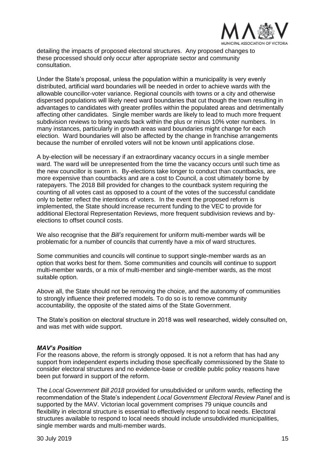

detailing the impacts of proposed electoral structures. Any proposed changes to these processed should only occur after appropriate sector and community consultation.

Under the State's proposal, unless the population within a municipality is very evenly distributed, artificial ward boundaries will be needed in order to achieve wards with the allowable councillor-voter variance. Regional councils with towns or a city and otherwise dispersed populations will likely need ward boundaries that cut though the town resulting in advantages to candidates with greater profiles within the populated areas and detrimentally affecting other candidates. Single member wards are likely to lead to much more frequent subdivision reviews to bring wards back within the plus or minus 10% voter numbers. In many instances, particularly in growth areas ward boundaries might change for each election. Ward boundaries will also be affected by the change in franchise arrangements because the number of enrolled voters will not be known until applications close.

A by-election will be necessary if an extraordinary vacancy occurs in a single member ward. The ward will be unrepresented from the time the vacancy occurs until such time as the new councillor is sworn in. By-elections take longer to conduct than countbacks, are more expensive than countbacks and are a cost to Council, a cost ultimately borne by ratepayers. The 2018 Bill provided for changes to the countback system requiring the counting of all votes cast as opposed to a count of the votes of the successful candidate only to better reflect the intentions of voters. In the event the proposed reform is implemented, the State should increase recurrent funding to the VEC to provide for additional Electoral Representation Reviews, more frequent subdivision reviews and byelections to offset council costs.

We also recognise that the *Bill's* requirement for uniform multi-member wards will be problematic for a number of councils that currently have a mix of ward structures.

Some communities and councils will continue to support single-member wards as an option that works best for them. Some communities and councils will continue to support multi-member wards, or a mix of multi-member and single-member wards, as the most suitable option.

Above all, the State should not be removing the choice, and the autonomy of communities to strongly influence their preferred models. To do so is to remove community accountability, the opposite of the stated aims of the State Government.

The State's position on electoral structure in 2018 was well researched, widely consulted on, and was met with wide support.

#### *MAV's Position*

For the reasons above, the reform is strongly opposed. It is not a reform that has had any support from independent experts including those specifically commissioned by the State to consider electoral structures and no evidence-base or credible public policy reasons have been put forward in support of the reform.

The *Local Government Bill 2018* provided for unsubdivided or uniform wards, reflecting the recommendation of the State's independent *Local Government Electoral Review Panel* and is supported by the MAV. Victorian local government comprises 79 unique councils and flexibility in electoral structure is essential to effectively respond to local needs. Electoral structures available to respond to local needs should include unsubdivided municipalities, single member wards and multi-member wards.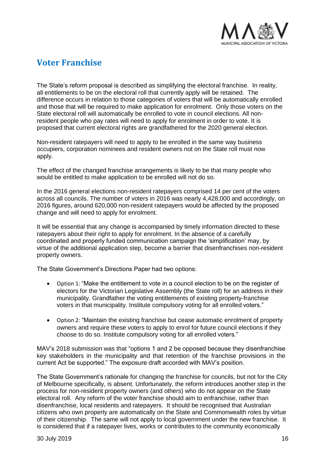

# **Voter Franchise**

The State's reform proposal is described as simplifying the electoral franchise. In reality, all entitlements to be on the electoral roll that currently apply will be retained. The difference occurs in relation to those categories of voters that will be automatically enrolled and those that will be required to make application for enrolment. Only those voters on the State electoral roll will automatically be enrolled to vote in council elections. All nonresident people who pay rates will need to apply for enrolment in order to vote. It is proposed that current electoral rights are grandfathered for the 2020 general election.

Non-resident ratepayers will need to apply to be enrolled in the same way business occupiers, corporation nominees and resident owners not on the State roll must now apply.

The effect of the changed franchise arrangements is likely to be that many people who would be entitled to make application to be enrolled will not do so.

In the 2016 general elections non-resident ratepayers comprised 14 per cent of the voters across all councils. The number of voters in 2016 was nearly 4,428,000 and accordingly, on 2016 figures, around 620,000 non-resident ratepayers would be affected by the proposed change and will need to apply for enrolment.

It will be essential that any change is accompanied by timely information directed to these ratepayers about their right to apply for enrolment. In the absence of a carefully coordinated and properly funded communication campaign the 'simplification' may, by virtue of the additional application step, become a barrier that disenfranchises non-resident property owners.

The State Government's Directions Paper had two options:

- Option 1: "Make the entitlement to vote in a council election to be on the register of electors for the Victorian Legislative Assembly (the State roll) for an address in their municipality. Grandfather the voting entitlements of existing property-franchise voters in that municipality. Institute compulsory voting for all enrolled voters."
- Option 2: "Maintain the existing franchise but cease automatic enrolment of property owners and require these voters to apply to enrol for future council elections if they choose to do so. Institute compulsory voting for all enrolled voters."

MAV's 2018 submission was that "options 1 and 2 be opposed because they disenfranchise key stakeholders in the municipality and that retention of the franchise provisions in the current Act be supported." The exposure draft accorded with MAV's position.

The State Government's rationale for changing the franchise for councils, but not for the City of Melbourne specifically, is absent. Unfortunately, the reform introduces another step in the process for non-resident property owners (and others) who do not appear on the State electoral roll. Any reform of the voter franchise should aim to enfranchise, rather than disenfranchise, local residents and ratepayers. It should be recognised that Australian citizens who own property are automatically on the State and Commonwealth roles by virtue of their citizenship. The same will not apply to local government under the new franchise. It is considered that if a ratepayer lives, works or contributes to the community economically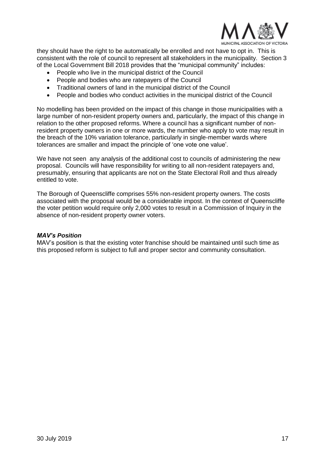

they should have the right to be automatically be enrolled and not have to opt in. This is consistent with the role of council to represent all stakeholders in the municipality. Section 3 of the Local Government Bill 2018 provides that the "municipal community" includes:

- People who live in the municipal district of the Council
- People and bodies who are ratepayers of the Council
- Traditional owners of land in the municipal district of the Council
- People and bodies who conduct activities in the municipal district of the Council

No modelling has been provided on the impact of this change in those municipalities with a large number of non-resident property owners and, particularly, the impact of this change in relation to the other proposed reforms. Where a council has a significant number of nonresident property owners in one or more wards, the number who apply to vote may result in the breach of the 10% variation tolerance, particularly in single-member wards where tolerances are smaller and impact the principle of 'one vote one value'.

We have not seen any analysis of the additional cost to councils of administering the new proposal. Councils will have responsibility for writing to all non-resident ratepayers and, presumably, ensuring that applicants are not on the State Electoral Roll and thus already entitled to vote.

The Borough of Queenscliffe comprises 55% non-resident property owners. The costs associated with the proposal would be a considerable impost. In the context of Queenscliffe the voter petition would require only 2,000 votes to result in a Commission of Inquiry in the absence of non-resident property owner voters.

#### *MAV's Position*

MAV's position is that the existing voter franchise should be maintained until such time as this proposed reform is subject to full and proper sector and community consultation.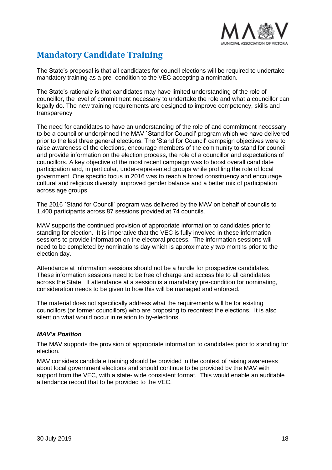

# **Mandatory Candidate Training**

The State's proposal is that all candidates for council elections will be required to undertake mandatory training as a pre- condition to the VEC accepting a nomination.

The State's rationale is that candidates may have limited understanding of the role of councillor, the level of commitment necessary to undertake the role and what a councillor can legally do. The new training requirements are designed to improve competency, skills and transparency

The need for candidates to have an understanding of the role of and commitment necessary to be a councillor underpinned the MAV `Stand for Council' program which we have delivered prior to the last three general elections. The 'Stand for Council' campaign objectives were to raise awareness of the elections, encourage members of the community to stand for council and provide information on the election process, the role of a councillor and expectations of councillors. A key objective of the most recent campaign was to boost overall candidate participation and, in particular, under-represented groups while profiling the role of local government. One specific focus in 2016 was to reach a broad constituency and encourage cultural and religious diversity, improved gender balance and a better mix of participation across age groups.

The 2016 `Stand for Council' program was delivered by the MAV on behalf of councils to 1,400 participants across 87 sessions provided at 74 councils.

MAV supports the continued provision of appropriate information to candidates prior to standing for election. It is imperative that the VEC is fully involved in these information sessions to provide information on the electoral process. The information sessions will need to be completed by nominations day which is approximately two months prior to the election day.

Attendance at information sessions should not be a hurdle for prospective candidates. These information sessions need to be free of charge and accessible to all candidates across the State. If attendance at a session is a mandatory pre-condition for nominating, consideration needs to be given to how this will be managed and enforced.

The material does not specifically address what the requirements will be for existing councillors (or former councillors) who are proposing to recontest the elections. It is also silent on what would occur in relation to by-elections.

### *MAV's Position*

The MAV supports the provision of appropriate information to candidates prior to standing for election.

MAV considers candidate training should be provided in the context of raising awareness about local government elections and should continue to be provided by the MAV with support from the VEC, with a state- wide consistent format. This would enable an auditable attendance record that to be provided to the VEC.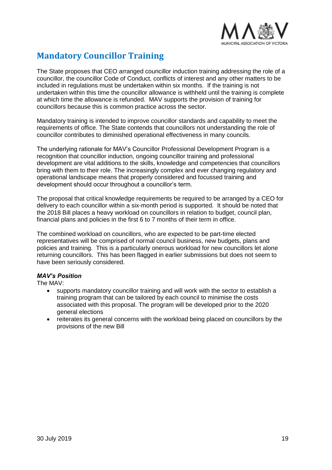

# **Mandatory Councillor Training**

The State proposes that CEO arranged councillor induction training addressing the role of a councillor, the councillor Code of Conduct, conflicts of interest and any other matters to be included in regulations must be undertaken within six months. If the training is not undertaken within this time the councillor allowance is withheld until the training is complete at which time the allowance is refunded. MAV supports the provision of training for councillors because this is common practice across the sector.

Mandatory training is intended to improve councillor standards and capability to meet the requirements of office. The State contends that councillors not understanding the role of councillor contributes to diminished operational effectiveness in many councils.

The underlying rationale for MAV's Councillor Professional Development Program is a recognition that councillor induction, ongoing councillor training and professional development are vital additions to the skills, knowledge and competencies that councillors bring with them to their role. The increasingly complex and ever changing regulatory and operational landscape means that properly considered and focussed training and development should occur throughout a councillor's term.

The proposal that critical knowledge requirements be required to be arranged by a CEO for delivery to each councillor within a six-month period is supported. It should be noted that the 2018 Bill places a heavy workload on councillors in relation to budget, council plan, financial plans and policies in the first 6 to 7 months of their term in office.

The combined workload on councillors, who are expected to be part-time elected representatives will be comprised of normal council business, new budgets, plans and policies and training. This is a particularly onerous workload for new councillors let alone returning councillors. This has been flagged in earlier submissions but does not seem to have been seriously considered.

### *MAV's Position*

The MAV:

- supports mandatory councillor training and will work with the sector to establish a training program that can be tailored by each council to minimise the costs associated with this proposal. The program will be developed prior to the 2020 general elections
- reiterates its general concerns with the workload being placed on councillors by the provisions of the new Bill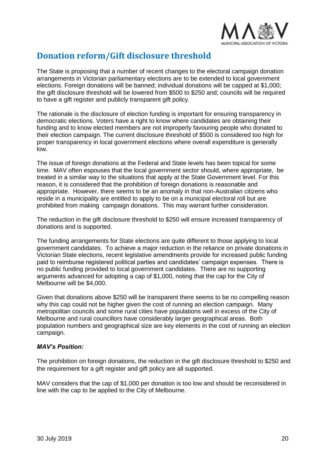

# **Donation reform/Gift disclosure threshold**

The State is proposing that a number of recent changes to the electoral campaign donation arrangements in Victorian parliamentary elections are to be extended to local government elections. Foreign donations will be banned; individual donations will be capped at \$1,000; the gift disclosure threshold will be lowered from \$500 to \$250 and; councils will be required to have a gift register and publicly transparent gift policy.

The rationale is the disclosure of election funding is important for ensuring transparency in democratic elections. Voters have a right to know where candidates are obtaining their funding and to know elected members are not improperly favouring people who donated to their election campaign. The current disclosure threshold of \$500 is considered too high for proper transparency in local government elections where overall expenditure is generally low.

The issue of foreign donations at the Federal and State levels has been topical for some time. MAV often espouses that the local government sector should, where appropriate, be treated in a similar way to the situations that apply at the State Government level. For this reason, it is considered that the prohibition of foreign donations is reasonable and appropriate. However, there seems to be an anomaly in that non-Australian citizens who reside in a municipality are entitled to apply to be on a municipal electoral roll but are prohibited from making campaign donations. This may warrant further consideration.

The reduction in the gift disclosure threshold to \$250 will ensure increased transparency of donations and is supported.

The funding arrangements for State elections are quite different to those applying to local government candidates. To achieve a major reduction in the reliance on private donations in Victorian State elections, recent legislative amendments provide for increased public funding paid to reimburse registered political parties and candidates' campaign expenses. There is no public funding provided to local government candidates. There are no supporting arguments advanced for adopting a cap of \$1,000, noting that the cap for the City of Melbourne will be \$4,000.

Given that donations above \$250 will be transparent there seems to be no compelling reason why this cap could not be higher given the cost of running an election campaign. Many metropolitan councils and some rural cities have populations well in excess of the City of Melbourne and rural councillors have considerably larger geographical areas. Both population numbers and geographical size are key elements in the cost of running an election campaign.

### *MAV's Position:*

The prohibition on foreign donations, the reduction in the gift disclosure threshold to \$250 and the requirement for a gift register and gift policy are all supported.

MAV considers that the cap of \$1,000 per donation is too low and should be reconsidered in line with the cap to be applied to the City of Melbourne.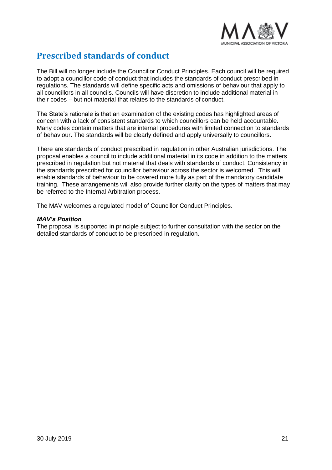

# **Prescribed standards of conduct**

The Bill will no longer include the Councillor Conduct Principles. Each council will be required to adopt a councillor code of conduct that includes the standards of conduct prescribed in regulations. The standards will define specific acts and omissions of behaviour that apply to all councillors in all councils. Councils will have discretion to include additional material in their codes – but not material that relates to the standards of conduct.

The State's rationale is that an examination of the existing codes has highlighted areas of concern with a lack of consistent standards to which councillors can be held accountable. Many codes contain matters that are internal procedures with limited connection to standards of behaviour. The standards will be clearly defined and apply universally to councillors.

There are standards of conduct prescribed in regulation in other Australian jurisdictions. The proposal enables a council to include additional material in its code in addition to the matters prescribed in regulation but not material that deals with standards of conduct. Consistency in the standards prescribed for councillor behaviour across the sector is welcomed. This will enable standards of behaviour to be covered more fully as part of the mandatory candidate training. These arrangements will also provide further clarity on the types of matters that may be referred to the Internal Arbitration process.

The MAV welcomes a regulated model of Councillor Conduct Principles.

#### *MAV's Position*

The proposal is supported in principle subject to further consultation with the sector on the detailed standards of conduct to be prescribed in regulation.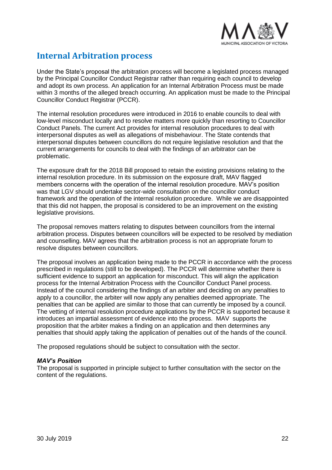

# **Internal Arbitration process**

Under the State's proposal the arbitration process will become a legislated process managed by the Principal Councillor Conduct Registrar rather than requiring each council to develop and adopt its own process. An application for an Internal Arbitration Process must be made within 3 months of the alleged breach occurring. An application must be made to the Principal Councillor Conduct Registrar (PCCR).

The internal resolution procedures were introduced in 2016 to enable councils to deal with low-level misconduct locally and to resolve matters more quickly than resorting to Councillor Conduct Panels. The current Act provides for internal resolution procedures to deal with interpersonal disputes as well as allegations of misbehaviour. The State contends that interpersonal disputes between councillors do not require legislative resolution and that the current arrangements for councils to deal with the findings of an arbitrator can be problematic.

The exposure draft for the 2018 Bill proposed to retain the existing provisions relating to the internal resolution procedure. In its submission on the exposure draft, MAV flagged members concerns with the operation of the internal resolution procedure. MAV's position was that LGV should undertake sector-wide consultation on the councillor conduct framework and the operation of the internal resolution procedure. While we are disappointed that this did not happen, the proposal is considered to be an improvement on the existing legislative provisions.

The proposal removes matters relating to disputes between councillors from the internal arbitration process. Disputes between councillors will be expected to be resolved by mediation and counselling. MAV agrees that the arbitration process is not an appropriate forum to resolve disputes between councillors.

The proposal involves an application being made to the PCCR in accordance with the process prescribed in regulations (still to be developed). The PCCR will determine whether there is sufficient evidence to support an application for misconduct. This will align the application process for the Internal Arbitration Process with the Councillor Conduct Panel process. Instead of the council considering the findings of an arbiter and deciding on any penalties to apply to a councillor, the arbiter will now apply any penalties deemed appropriate. The penalties that can be applied are similar to those that can currently be imposed by a council. The vetting of internal resolution procedure applications by the PCCR is supported because it introduces an impartial assessment of evidence into the process. MAV supports the proposition that the arbiter makes a finding on an application and then determines any penalties that should apply taking the application of penalties out of the hands of the council.

The proposed regulations should be subject to consultation with the sector.

### *MAV's Position*

The proposal is supported in principle subject to further consultation with the sector on the content of the regulations.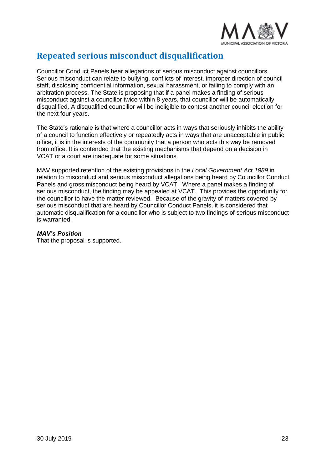

# **Repeated serious misconduct disqualification**

Councillor Conduct Panels hear allegations of serious misconduct against councillors. Serious misconduct can relate to bullying, conflicts of interest, improper direction of council staff, disclosing confidential information, sexual harassment, or failing to comply with an arbitration process. The State is proposing that if a panel makes a finding of serious misconduct against a councillor twice within 8 years, that councillor will be automatically disqualified. A disqualified councillor will be ineligible to contest another council election for the next four years.

The State's rationale is that where a councillor acts in ways that seriously inhibits the ability of a council to function effectively or repeatedly acts in ways that are unacceptable in public office, it is in the interests of the community that a person who acts this way be removed from office. It is contended that the existing mechanisms that depend on a decision in VCAT or a court are inadequate for some situations.

MAV supported retention of the existing provisions in the *Local Government Act 1989* in relation to misconduct and serious misconduct allegations being heard by Councillor Conduct Panels and gross misconduct being heard by VCAT. Where a panel makes a finding of serious misconduct, the finding may be appealed at VCAT. This provides the opportunity for the councillor to have the matter reviewed. Because of the gravity of matters covered by serious misconduct that are heard by Councillor Conduct Panels, it is considered that automatic disqualification for a councillor who is subject to two findings of serious misconduct is warranted.

### *MAV's Position*

That the proposal is supported.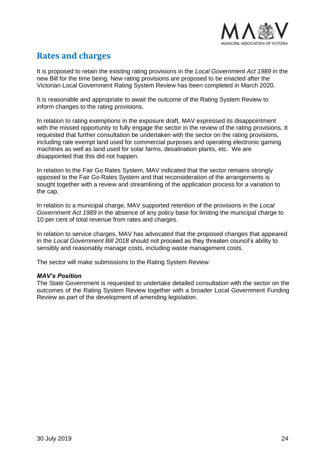

# **Rates and charges**

It is proposed to retain the existing rating provisions in the *Local Government Act 1989* in the new Bill for the time being. New rating provisions are proposed to be enacted after the Victorian Local Government Rating System Review has been completed in March 2020.

It is reasonable and appropriate to await the outcome of the Rating System Review to inform changes to the rating provisions.

In relation to rating exemptions in the exposure draft, MAV expressed its disappointment with the missed opportunity to fully engage the sector in the review of the rating provisions. It requested that further consultation be undertaken with the sector on the rating provisions, including rate exempt land used for commercial purposes and operating electronic gaming machines as well as land used for solar farms, desalination plants, etc. We are disappointed that this did not happen.

In relation to the Fair Go Rates System, MAV indicated that the sector remains strongly opposed to the Fair Go Rates System and that reconsideration of the arrangements is sought together with a review and streamlining of the application process for a variation to the cap.

In relation to a municipal charge, MAV supported retention of the provisions in the *Local Government Act 1989* in the absence of any policy base for limiting the municipal charge to 10 per cent of total revenue from rates and charges.

In relation to service charges, MAV has advocated that the proposed changes that appeared in the *Local Government Bill 2018* should not proceed as they threaten council's ability to sensibly and reasonably manage costs, including waste management costs.

The sector will make submissions to the Rating System Review.

### *MAV's Position*

The State Government is requested to undertake detailed consultation with the sector on the outcomes of the Rating System Review together with a broader Local Government Funding Review as part of the development of amending legislation.